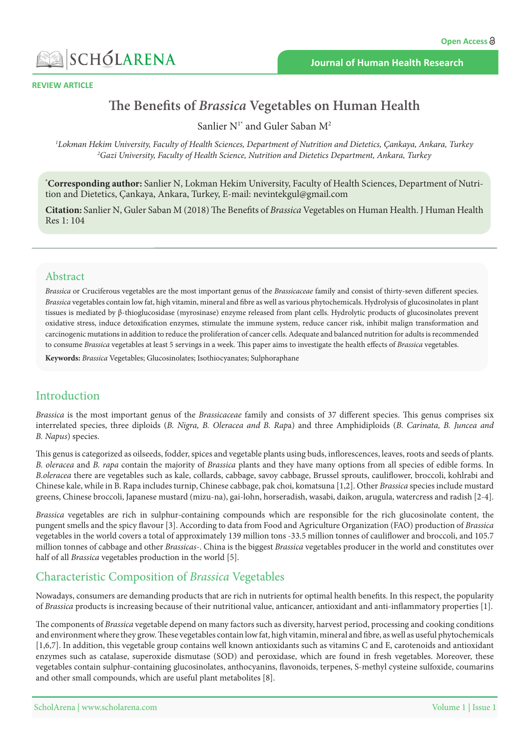



#### **REVIEW ARTICLE**

# **Health Human Health Brassica Vegetables** on Human Health

Sanlier  $N^{1*}$  and Guler Saban  $M^2$ 

*1 2 Turkey ,Ankara ,Çankaya ,Dietetics and Nutrition of Department ,Sciences Health of Faculty ,University Hekim Lokman* <sup>2</sup>Gazi University, Faculty of Health Science, Nutrition and Dietetics Department, Ankara, Turkey

**\*Corresponding author:** Sanlier N, Lokman Hekim University, Faculty of Health Sciences, Department of Nutrition and Dietetics, Çankaya, Ankara, Turkey, E-mail: nevintekgul@gmail.com

**Citation:** Sanlier N, Guler Saban M (2018) The Benefits of Brassica Vegetables on Human Health. J Human Health Res 1: 104

#### Abstract

Brassica or Cruciferous vegetables are the most important genus of the Brassicaceae family and consist of thirty-seven different species. Brassica vegetables contain low fat, high vitamin, mineral and fibre as well as various phytochemicals. Hydrolysis of glucosinolates in plant tissues is mediated by β-thioglucosidase (myrosinase) enzyme released from plant cells. Hydrolytic products of glucosinolates prevent oxidative stress, induce detoxification enzymes, stimulate the immune system, reduce cancer risk, inhibit malign transformation and carcinogenic mutations in addition to reduce the proliferation of cancer cells. Adequate and balanced nutrition for adults is recommended to consume Brassica vegetables at least 5 servings in a week. This paper aims to investigate the health effects of Brassica vegetables.

Keywords: Brassica Vegetables; Glucosinolates; Isothiocyanates; Sulphoraphane

# Introduction

Brassica is the most important genus of the Brassicaceae family and consists of 37 different species. This genus comprises six interrelated species, three diploids (B. Nigra, B. Oleracea and B. Rapa) and three Amphidiploids (B. Carinata, B. Juncea and  $B.$  *Napus*) species.

This genus is categorized as oilseeds, fodder, spices and vegetable plants using buds, inflorescences, leaves, roots and seeds of plants. B. *oleracea* and B. *rapa* contain the majority of *Brassica* plants and they have many options from all species of edible forms. In B.oleracea there are vegetables such as kale, collards, cabbage, savoy cabbage, Brussel sprouts, cauliflower, broccoli, kohlrabi and Chinese kale, while in B. Rapa includes turnip, Chinese cabbage, pak choi, komatsuna [1,2]. Other Brassica species include mustard greens, Chinese broccoli, Japanese mustard (mizu-na), gai-lohn, horseradish, wasabi, daikon, arugula, watercress and radish [2-4].

Brassica vegetables are rich in sulphur-containing compounds which are responsible for the rich glucosinolate content, the pungent smells and the spicy flavour [3]. According to data from Food and Agriculture Organization (FAO) production of *Brassica* vegetables in the world covers a total of approximately 139 million tons -33.5 million tonnes of cauliflower and broccoli, and 105.7 million tonnes of cabbage and other *Brassicas*-. China is the biggest *Brassica* vegetables producer in the world and constitutes over half of all *Brassica* vegetables production in the world [5].

# **Characteristic Composition of Brassica Vegetables**

Nowadays, consumers are demanding products that are rich in nutrients for optimal health benefits. In this respect, the popularity of Brassica products is increasing because of their nutritional value, anticancer, antioxidant and anti-inflammatory properties [1].

The components of *Brassica* vegetable depend on many factors such as diversity, harvest period, processing and cooking conditions and environment where they grow. These vegetables contain low fat, high vitamin, mineral and fibre, as well as useful phytochemicals  $[1,6,7]$ . In addition, this vegetable group contains well known antioxidants such as vitamins C and E, carotenoids and antioxidant enzymes such as catalase, superoxide dismutase (SOD) and peroxidase, which are found in fresh vegetables. Moreover, these vegetables contain sulphur-containing glucosinolates, anthocyanins, flavonoids, terpenes, S-methyl cysteine sulfoxide, coumarins and other small compounds, which are useful plant metabolites [8].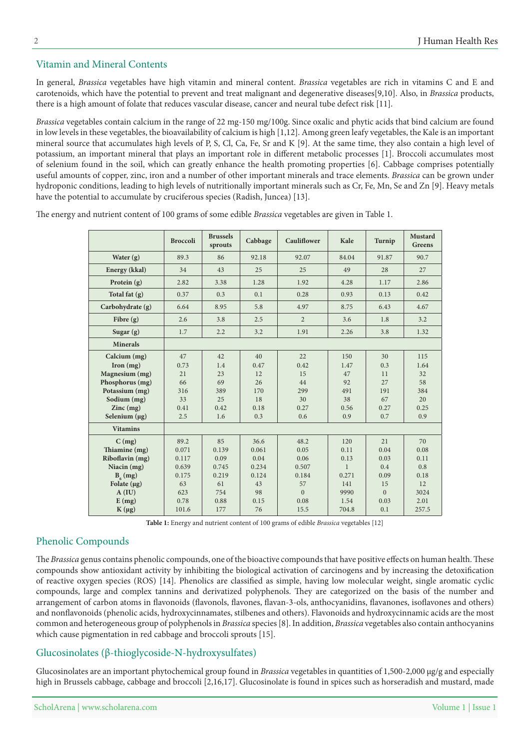## Vitamin and Mineral Contents

In general, Brassica vegetables have high vitamin and mineral content. Brassica vegetables are rich in vitamins C and E and carotenoids, which have the potential to prevent and treat malignant and degenerative diseases [9,10]. Also, in *Brassica* products, there is a high amount of folate that reduces vascular disease, cancer and neural tube defect risk [11].

Brassica vegetables contain calcium in the range of 22 mg-150 mg/100g. Since oxalic and phytic acids that bind calcium are found in low levels in these vegetables, the bioavailability of calcium is high [1,12]. Among green leafy vegetables, the Kale is an important mineral source that accumulates high levels of P, S, Cl, Ca, Fe, Sr and K [9]. At the same time, they also contain a high level of potassium, an important mineral that plays an important role in different metabolic processes [1]. Broccoli accumulates most of selenium found in the soil, which can greatly enhance the health promoting properties [6]. Cabbage comprises potentially useful amounts of copper, zinc, iron and a number of other important minerals and trace elements. *Brassica* can be grown under hydroponic conditions, leading to high levels of nutritionally important minerals such as Cr, Fe, Mn, Se and Zn [9]. Heavy metals have the potential to accumulate by cruciferous species (Radish, Juncea) [13].

|                          | <b>Broccoli</b> | <b>Brussels</b><br>sprouts | Cabbage | Cauliflower    | Kale         | Turnip   | Mustard<br><b>Greens</b> |
|--------------------------|-----------------|----------------------------|---------|----------------|--------------|----------|--------------------------|
| Water $(g)$              | 89.3            | 86                         | 92.18   | 92.07          | 84.04        | 91.87    | 90.7                     |
| Energy (kkal)            | 34              | 43                         | 25      | 25             | 49           | 28       | 27                       |
| Protein $(g)$            | 2.82            | 3.38                       | 1.28    | 1.92           | 4.28         | 1.17     | 2.86                     |
| Total fat (g)            | 0.37            | 0.3                        | 0.1     | 0.28           | 0.93         | 0.13     | 0.42                     |
| Carbohydrate (g)         | 6.64            | 8.95                       | 5.8     | 4.97           | 8.75         | 6.43     | 4.67                     |
| Fibre (g)                | 2.6             | 3.8                        | 2.5     | $\overline{2}$ | 3.6          | 1.8      | 3.2                      |
| Sugar $(g)$              | 1.7             | 2.2                        | 3.2     | 1.91           | 2.26         | 3.8      | 1.32                     |
| <b>Minerals</b>          |                 |                            |         |                |              |          |                          |
| Calcium (mg)             | 47              | 42                         | 40      | 22             | 150          | 30       | 115                      |
| $\Gamma$ Iron $(mg)$     | 0.73            | 1.4                        | 0.47    | 0.42           | 1.47         | 0.3      | 1.64                     |
| Magnesium (mg)           | 21              | 23                         | 12      | 15             | 47           | 11       | 32                       |
| Phosphorus (mg)          | 66              | 69                         | 26      | 44             | 92           | 27       | 58                       |
| Potassium (mg)           | 316             | 389                        | 170     | 299            | 491          | 191      | 384                      |
| Sodium (mg)              | 33              | 25                         | 18      | 30             | 38           | 67       | 20                       |
| $\text{Zinc}(\text{mg})$ | 0.41            | 0.42                       | 0.18    | 0.27           | 0.56         | 0.27     | 0.25                     |
| Selenium $(\mu g)$       | 2.5             | 1.6                        | 0.3     | 0.6            | 0.9          | 0.7      | 0.9                      |
| <b>Vitamins</b>          |                 |                            |         |                |              |          |                          |
| $C$ (mg)                 | 89.2            | 85                         | 36.6    | 48.2           | 120          | 21       | 70                       |
| Thiamine (mg)            | 0.071           | 0.139                      | 0.061   | 0.05           | 0.11         | 0.04     | 0.08                     |
| Riboflavin (mg)          | 0.117           | 0.09                       | 0.04    | 0.06           | 0.13         | 0.03     | 0.11                     |
| Niacin $(mg)$            | 0.639           | 0.745                      | 0.234   | 0.507          | $\mathbf{1}$ | 0.4      | 0.8                      |
| $B_6$ (mg)               | 0.175           | 0.219                      | 0.124   | 0.184          | 0.271        | 0.09     | 0.18                     |
| Folate $(\mu g)$         | 63              | 61                         | 43      | 57             | 141          | 15       | 12                       |
| A(IU)                    | 623             | 754                        | 98      | $\Omega$       | 9990         | $\Omega$ | 3024                     |
| E(mg)                    | 0.78            | 0.88                       | 0.15    | 0.08           | 1.54         | 0.03     | 2.01                     |
| $K(\mu g)$               | 101.6           | 177                        | 76      | 15.5           | 704.8        | 0.1      | 257.5                    |

The energy and nutrient content of 100 grams of some edible *Brassica* vegetables are given in Table 1.

Table 1: Energy and nutrient content of 100 grams of edible Brassica vegetables [12]

### Phenolic Compounds

The Brassica genus contains phenolic compounds, one of the bioactive compounds that have positive effects on human health. These compounds show antioxidant activity by inhibiting the biological activation of carcinogens and by increasing the detoxification of reactive oxygen species (ROS) [14]. Phenolics are classified as simple, having low molecular weight, single aromatic cyclic compounds, large and complex tannins and derivatized polyphenols. They are categorized on the basis of the number and arrangement of carbon atoms in flavonoids (flavonols, flavones, flavan-3-ols, anthocyanidins, flavanones, isoflavones and others) and nonflavonoids (phenolic acids, hydroxycinnamates, stilbenes and others). Flavonoids and hydroxycinnamic acids are the most common and heterogeneous group of polyphenols in *Brassica* species [8]. In addition, *Brassica* vegetables also contain anthocyanins which cause pigmentation in red cabbage and broccoli sprouts [15].

### $Glucosinolates (β-thioglycoside-N-hydroxysulfates)$

Glucosinolates are an important phytochemical group found in *Brassica* vegetables in quantities of 1,500-2,000 μg/g and especially high in Brussels cabbage, cabbage and broccoli [2,16,17]. Glucosinolate is found in spices such as horseradish and mustard, made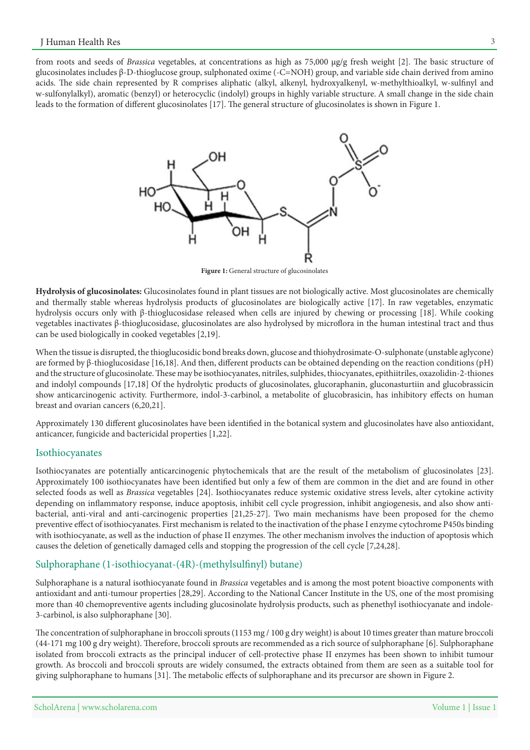from roots and seeds of *Brassica* vegetables, at concentrations as high as 75,000 μg/g fresh weight [2]. The basic structure of glucosinolates includes β-D-thioglucose group, sulphonated oxime (-C=NOH) group, and variable side chain derived from amino acids. The side chain represented by R comprises aliphatic (alkyl, alkenyl, hydroxyalkenyl, w-methylthioalkyl, w-sulfinyl and w-sulfonylalkyl), aromatic (benzyl) or heterocyclic (indolyl) groups in highly variable structure. A small change in the side chain leads to the formation of different glucosinolates [17]. The general structure of glucosinolates is shown in Figure 1.



Figure 1: General structure of glucosinolates

Hydrolysis of glucosinolates: Glucosinolates found in plant tissues are not biologically active. Most glucosinolates are chemically and thermally stable whereas hydrolysis products of glucosinolates are biologically active [17]. In raw vegetables, enzymatic hydrolysis occurs only with  $\beta$ -thioglucosidase released when cells are injured by chewing or processing [18]. While cooking thus and tract intestinal tract and thus vegetables intervals are also hydrolysed by microflora in the human intestinal tract and thus can be used biologically in cooked vegetables [2,19].

When the tissue is disrupted, the thioglucosidic bond breaks down, glucose and thiohydrosimate-O-sulphonate (unstable aglycone) are formed by β-thioglucosidase [16,18]. And then, different products can be obtained depending on the reaction conditions (pH) and the structure of glucosinolate. These may be isothiocyanates, nitriles, sulphides, thiocyanates, epithiitriles, oxazolidin-2-thiones and indolyl compounds [17,18] Of the hydrolytic products of glucosinolates, glucoraphanin, gluconasturtiin and glucobrassicin show anticarcinogenic activity. Furthermore, indol-3-carbinol, a metabolite of glucobrasicin, has inhibitory effects on human breast and ovarian cancers  $(6,20,21]$ .

Approximately 130 different glucosinolates have been identified in the botanical system and glucosinolates have also antioxidant, anticancer, fungicide and bactericidal properties  $[1,22]$ .

#### Isothiocyanates

Isothiocyanates are potentially anticarcinogenic phytochemicals that are the result of the metabolism of glucosinolates [23]. Approximately 100 isothiocyanates have been identified but only a few of them are common in the diet and are found in other selected foods as well as *Brassica* vegetables [24]. Isothiocyanates reduce systemic oxidative stress levels, alter cytokine activity bacterial, anti-viral and anti-carcinogenic properties [21,25-27]. Two main mechanisms have been proposed for the chemo depending on inflammatory response, induce apoptosis, inhibit cell cycle progression, inhibit angiogenesis, and also show antipreventive effect of isothiocyanates. First mechanism is related to the inactivation of the phase I enzyme cytochrome P450s binding with isothiocyanate, as well as the induction of phase II enzymes. The other mechanism involves the induction of apoptosis which causes the deletion of genetically damaged cells and stopping the progression of the cell cycle [7,24,28].

#### Sulphoraphane (1-isothiocyanat-(4R)-(methylsulfinyl) butane)

Sulphoraphane is a natural isothiocyanate found in Brassica vegetables and is among the most potent bioactive components with antioxidant and anti-tumour properties [28,29]. According to the National Cancer Institute in the US, one of the most promising more than 40 chemopreventive agents including glucosinolate hydrolysis products, such as phenethyl isothiocyanate and indole-<br>3-carbinol, is also sulphoraphane [30].

The concentration of sulphoraphane in broccoli sprouts (1153 mg  $/$  100 g dry weight) is about 10 times greater than mature broccoli (44-171 mg 100 g dry weight). Therefore, broccoli sprouts are recommended as a rich source of sulphoraphane [6]. Sulphoraphane isolated from broccoli extracts as the principal inducer of cell-protective phase II enzymes has been shown to inhibit tumour growth. As broccoli and broccoli sprouts are widely consumed, the extracts obtained from them are seen as a suitable tool for giving sulphoraphane to humans [31]. The metabolic effects of sulphoraphane and its precursor are shown in Figure 2.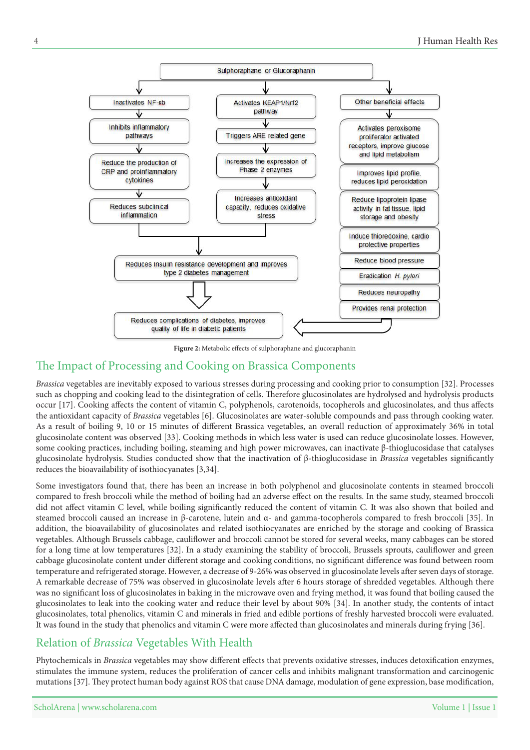

Figure 2: Metabolic effects of sulphoraphane and glucoraphanin

# The Impact of Processing and Cooking on Brassica Components

Brassica vegetables are inevitably exposed to various stresses during processing and cooking prior to consumption [32]. Processes such as chopping and cooking lead to the disintegration of cells. Therefore glucosinolates are hydrolysed and hydrolysis products occur [17]. Cooking affects the content of vitamin C, polyphenols, carotenoids, tocopherols and glucosinolates, and thus affects the antioxidant capacity of *Brassica* vegetables [6]. Glucosinolates are water-soluble compounds and pass through cooking water. As a result of boiling 9, 10 or 15 minutes of different Brassica vegetables, an overall reduction of approximately 36% in total glucosinolate content was observed [33]. Cooking methods in which less water is used can reduce glucosinolate losses. However, some cooking practices, including boiling, steaming and high power microwaves, can inactivate  $\beta$ -thioglucosidase that catalyses glucosinolate hydrolysis. Studies conducted show that the inactivation of β-thioglucosidase in Brassica vegetables significantly reduces the bioavailability of isothiocyanates  $[3,34]$ .

Some investigators found that, there has been an increase in both polyphenol and glucosinolate contents in steamed broccoli compared to fresh broccoli while the method of boiling had an adverse effect on the results. In the same study, steamed broccoli did not affect vitamin C level, while boiling significantly reduced the content of vitamin C. It was also shown that boiled and steamed broccoli caused an increase in β-carotene, lutein and α- and gamma-tocopherols compared to fresh broccoli [35]. In addition, the bioavailability of glucosinolates and related isothiocyanates are enriched by the storage and cooking of Brassica vegetables. Although Brussels cabbage, cauliflower and broccoli cannot be stored for several weeks, many cabbages can be stored for a long time at low temperatures [32]. In a study examining the stability of broccoli, Brussels sprouts, cauliflower and green cabbage glucosinolate content under different storage and cooking conditions, no significant difference was found between room temperature and refrigerated storage. However, a decrease of 9-26% was observed in glucosinolate levels after seven days of storage. A remarkable decrease of 75% was observed in glucosinolate levels after 6 hours storage of shredded vegetables. Although there was no significant loss of glucosinolates in baking in the microwave oven and frying method, it was found that boiling caused the glucosinolates to leak into the cooking water and reduce their level by about 90% [34]. In another study, the contents of intact glucosinolates, total phenolics, vitamin C and minerals in fried and edible portions of freshly harvested broccoli were evaluated. It was found in the study that phenolics and vitamin C were more affected than glucosinolates and minerals during frying [36].

# Relation of *Brassica* Vegetables With Health

Phytochemicals in Brassica vegetables may show different effects that prevents oxidative stresses, induces detoxification enzymes, stimulates the immune system, reduces the proliferation of cancer cells and inhibits malignant transformation and carcinogenic mutations [37]. They protect human body against ROS that cause DNA damage, modulation of gene expression, base modification,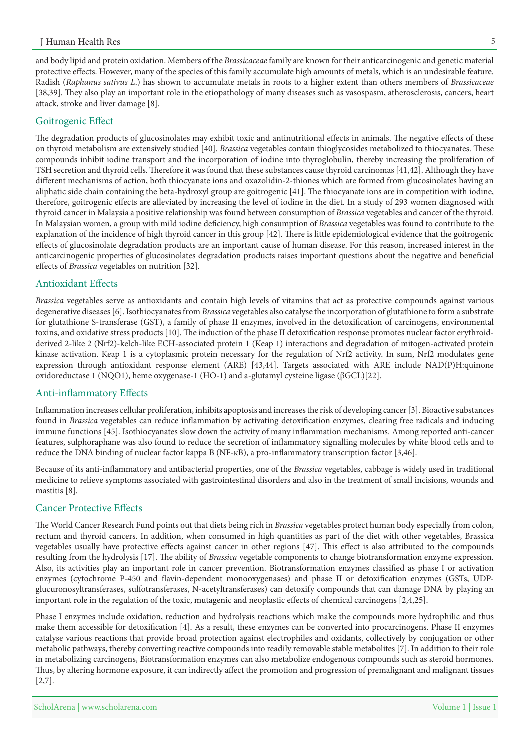and body lipid and protein oxidation. Members of the Brassicaceae family are known for their anticarcinogenic and genetic material protective effects. However, many of the species of this family accumulate high amounts of metals, which is an undesirable feature. Radish (Raphanus sativus L.) has shown to accumulate metals in roots to a higher extent than others members of Brassicaceae [38,39]. They also play an important role in the etiopathology of many diseases such as vasospasm, atherosclerosis, cancers, heart attack, stroke and liver damage [8].

#### Goitrogenic Effect

The degradation products of glucosinolates may exhibit toxic and antinutritional effects in animals. The negative effects of these on thyroid metabolism are extensively studied [40]. Brassica vegetables contain thioglycosides metabolized to thiocyanates. These compounds inhibit iodine transport and the incorporation of iodine into thyroglobulin, thereby increasing the proliferation of TSH secretion and thyroid cells. Therefore it was found that these substances cause thyroid carcinomas [41,42]. Although they have different mechanisms of action, both thiocyanate ions and oxazolidin-2-thiones which are formed from glucosinolates having an aliphatic side chain containing the beta-hydroxyl group are goitrogenic [41]. The thiocyanate ions are in competition with iodine, therefore, goitrogenic effects are alleviated by increasing the level of iodine in the diet. In a study of 293 women diagnosed with thyroid cancer in Malaysia a positive relationship was found between consumption of Brassica vegetables and cancer of the thyroid. In Malaysian women, a group with mild iodine deficiency, high consumption of Brassica vegetables was found to contribute to the explanation of the incidence of high thyroid cancer in this group  $[42]$ . There is little epidemiological evidence that the goitrogenic effects of glucosinolate degradation products are an important cause of human disease. For this reason, increased interest in the anticarcinogenic properties of glucosinolates degradation products raises important questions about the negative and beneficial effects of *Brassica* vegetables on nutrition [32].

#### Antioxidant Effects

Brassica vegetables serve as antioxidants and contain high levels of vitamins that act as protective compounds against various degenerative diseases [6]. Isothiocyanates from *Brassica* vegetables also catalyse the incorporation of glutathione to form a substrate for glutathione S-transferase (GST), a family of phase II enzymes, involved in the detoxification of carcinogens, environmental derived 2-like 2 (Nrf2)-kelch-like ECH-associated protein 1 (Keap 1) interactions and degradation of mitogen-activated protein toxins, and oxidative stress products [10]. The induction of the phase II detoxification response promotes nuclear factor erythroidkinase activation. Keap 1 is a cytoplasmic protein necessary for the regulation of Nrf2 activity. In sum, Nrf2 modulates gene expression through antioxidant response element (ARE) [43,44]. Targets associated with ARE include NAD(P)H:quinone oxidoreductase 1 (NQO1), heme oxygenase-1 (HO-1) and a-glutamyl cysteine ligase (βGCL)[22].

#### Anti-inflammatory Effects

Inflammation increases cellular proliferation, inhibits apoptosis and increases the risk of developing cancer [3]. Bioactive substances found in Brassica vegetables can reduce inflammation by activating detoxification enzymes, clearing free radicals and inducing immune functions [45]. Isothiocyanates slow down the activity of many inflammation mechanisms. Among reported anti-cancer features, sulphoraphane was also found to reduce the secretion of inflammatory signalling molecules by white blood cells and to reduce the DNA binding of nuclear factor kappa Β (NF-κB), a pro-inflammatory transcription factor [3,46].

Because of its anti-inflammatory and antibacterial properties, one of the Brassica vegetables, cabbage is widely used in traditional medicine to relieve symptoms associated with gastrointestinal disorders and also in the treatment of small incisions, wounds and mastitis [8].

### **Cancer Protective Effects**

The World Cancer Research Fund points out that diets being rich in Brassica vegetables protect human body especially from colon, rectum and thyroid cancers. In addition, when consumed in high quantities as part of the diet with other vegetables, Brassica vegetables usually have protective effects against cancer in other regions [47]. This effect is also attributed to the compounds resulting from the hydrolysis [17]. The ability of *Brassica* vegetable components to change biotransformation enzyme expression. Also, its activities play an important role in cancer prevention. Biotransformation enzymes classified as phase I or activation glucuronosyltransferases, sulfotransferases, N-acetyltransferases) can detoxify compounds that can damage DNA by playing an enzymes (cytochrome P-450 and flavin-dependent monooxygenases) and phase II or detoxification enzymes (GSTs, UDPimportant role in the regulation of the toxic, mutagenic and neoplastic effects of chemical carcinogens  $[2,4,25]$ .

Phase I enzymes include oxidation, reduction and hydrolysis reactions which make the compounds more hydrophilic and thus make them accessible for detoxification [4]. As a result, these enzymes can be converted into procarcinogens. Phase II enzymes catalyse various reactions that provide broad protection against electrophiles and oxidants, collectively by conjugation or other metabolic pathways, thereby converting reactive compounds into readily removable stable metabolites [7]. In addition to their role in metabolizing carcinogens, Biotransformation enzymes can also metabolize endogenous compounds such as steroid hormones. Thus, by altering hormone exposure, it can indirectly affect the promotion and progression of premalignant and malignant tissues  $[2,7]$ .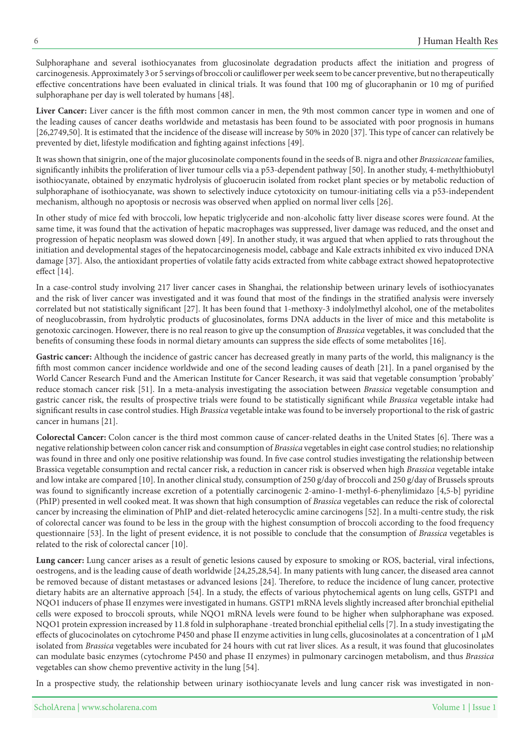Sulphoraphane and several isothiocyanates from glucosinolate degradation products affect the initiation and progress of carcinogenesis. Approximately 3 or 5 servings of broccoli or cauliflower per week seem to be cancer preventive, but no therapeutically effective concentrations have been evaluated in clinical trials. It was found that 100 mg of glucoraphanin or 10 mg of purified sulphoraphane per day is well tolerated by humans [48].

Liver Cancer: Liver cancer is the fifth most common cancer in men, the 9th most common cancer type in women and one of the leading causes of cancer deaths worldwide and metastasis has been found to be associated with poor prognosis in humans [26,2749,50]. It is estimated that the incidence of the disease will increase by 50% in 2020 [37]. This type of cancer can relatively be prevented by diet, lifestyle modification and fighting against infections [49].

It was shown that sinigrin, one of the major glucosinolate components found in the seeds of B. nigra and other *Brassicaceae* families, significantly inhibits the proliferation of liver tumour cells via a p53-dependent pathway [50]. In another study, 4-methylthiobutyl isothiocyanate, obtained by enzymatic hydrolysis of glucoerucin isolated from rocket plant species or by metabolic reduction of sulphoraphane of isothiocyanate, was shown to selectively induce cytotoxicity on tumour-initiating cells via a p53-independent mechanism, although no apoptosis or necrosis was observed when applied on normal liver cells [26].

In other study of mice fed with broccoli, low hepatic triglyceride and non-alcoholic fatty liver disease scores were found. At the same time, it was found that the activation of hepatic macrophages was suppressed, liver damage was reduced, and the onset and progression of hepatic neoplasm was slowed down [49]. In another study, it was argued that when applied to rats throughout the initiation and developmental stages of the hepatocarcinogenesis model, cabbage and Kale extracts inhibited ex vivo induced DNA damage [37]. Also, the antioxidant properties of volatile fatty acids extracted from white cabbage extract showed hepatoprotective effect  $[14]$ .

In a case-control study involving 217 liver cancer cases in Shanghai, the relationship between urinary levels of isothiocyanates and the risk of liver cancer was investigated and it was found that most of the findings in the stratified analysis were inversely correlated but not statistically significant [27]. It has been found that 1-methoxy-3 indolylmethyl alcohol, one of the metabolites of neoglucobrassin, from hydrolytic products of glucosinolates, forms DNA adducts in the liver of mice and this metabolite is genotoxic carcinogen. However, there is no real reason to give up the consumption of Brassica vegetables, it was concluded that the benefits of consuming these foods in normal dietary amounts can suppress the side effects of some metabolites [16].

Gastric cancer: Although the incidence of gastric cancer has decreased greatly in many parts of the world, this malignancy is the fifth most common cancer incidence worldwide and one of the second leading causes of death [21]. In a panel organised by the World Cancer Research Fund and the American Institute for Cancer Research, it was said that vegetable consumption 'probably' reduce stomach cancer risk [51]. In a meta-analysis investigating the association between *Brassica* vegetable consumption and gastric cancer risk, the results of prospective trials were found to be statistically significant while Brassica vegetable intake had significant results in case control studies. High Brassica vegetable intake was found to be inversely proportional to the risk of gastric cancer in humans  $[21]$ .

**Colorectal Cancer:** Colon cancer is the third most common cause of cancer-related deaths in the United States [6]. There was a negative relationship between colon cancer risk and consumption of Brassica vegetables in eight case control studies; no relationship was found in three and only one positive relationship was found. In five case control studies investigating the relationship between Brassica vegetable consumption and rectal cancer risk, a reduction in cancer risk is observed when high Brassica vegetable intake and low intake are compared [10]. In another clinical study, consumption of 250 g/day of broccoli and 250 g/day of Brussels sprouts was found to significantly increase excretion of a potentially carcinogenic 2-amino-1-methyl-6-phenylimidazo [4,5-b] pyridine (PhIP) presented in well cooked meat. It was shown that high consumption of Brassica vegetables can reduce the risk of colorectal cancer by increasing the elimination of PhIP and diet-related heterocyclic amine carcinogens [52]. In a multi-centre study, the risk of colorectal cancer was found to be less in the group with the highest consumption of broccoli according to the food frequency questionnaire [53]. In the light of present evidence, it is not possible to conclude that the consumption of Brassica vegetables is related to the risk of colorectal cancer [10].

Lung cancer: Lung cancer arises as a result of genetic lesions caused by exposure to smoking or ROS, bacterial, viral infections, oestrogens, and is the leading cause of death worldwide [24,25,28,54]. In many patients with lung cancer, the diseased area cannot be removed because of distant metastases or advanced lesions [24]. Therefore, to reduce the incidence of lung cancer, protective dietary habits are an alternative approach [54]. In a study, the effects of various phytochemical agents on lung cells, GSTP1 and NQO1 inducers of phase II enzymes were investigated in humans. GSTP1 mRNA levels slightly increased after bronchial epithelial cells were exposed to broccoli sprouts, while NQO1 mRNA levels were found to be higher when sulphoraphane was exposed. NQO1 protein expression increased by 11.8 fold in sulphoraphane -treated bronchial epithelial cells [7]. In a study investigating the effects of glucocinolates on cytochrome P450 and phase II enzyme activities in lung cells, glucosinolates at a concentration of 1  $\mu$ M isolated from Brassica vegetables were incubated for 24 hours with cut rat liver slices. As a result, it was found that glucosinolates can modulate basic enzymes (cytochrome P450 and phase II enzymes) in pulmonary carcinogen metabolism, and thus Brassica vegetables can show chemo preventive activity in the lung [54].

In a prospective study, the relationship between urinary isothiocyanate levels and lung cancer risk was investigated in non-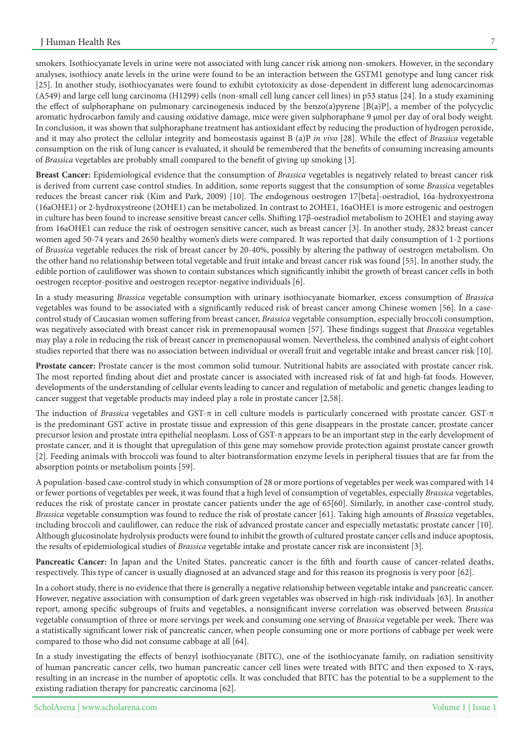smokers. Isothiocyanate levels in urine were not associated with lung cancer risk among non-smokers. However, in the secondary analyses, isothiocy anate levels in the urine were found to be an interaction between the GSTM1 genotype and lung cancer risk [25]. In another study, isothiocyanates were found to exhibit cytotoxicity as dose-dependent in different lung adenocarcinomas (A549) and large cell lung carcinoma (H1299) cells (non-small cell lung cancer cell lines) in p53 status [24]. In a study examining the effect of sulphoraphane on pulmonary carcinogenesis induced by the benzo(a)pyrene [B(a)P], a member of the polycyclic aromatic hydrocarbon family and causing oxidative damage, mice were given sulphoraphane 9 µmol per day of oral body weight. In conclusion, it was shown that sulphoraphane treatment has antioxidant effect by reducing the production of hydrogen peroxide, and it may also protect the cellular integrity and homeostasis against B (a)P in vivo [28]. While the effect of Brassica vegetable consumption on the risk of lung cancer is evaluated, it should be remembered that the benefits of consuming increasing amounts of Brassica vegetables are probably small compared to the benefit of giving up smoking [3].

Breast Cancer: Epidemiological evidence that the consumption of Brassica vegetables is negatively related to breast cancer risk is derived from current case control studies. In addition, some reports suggest that the consumption of some Brassica vegetables reduces the breast cancer risk (Kim and Park, 2009) [10]. The endogenous oestrogen 17 [beta]-oestradiol, 16a-hydroxyestrona (16aOHE1) or 2-hydroxystreone (2OHE1) can be metabolized. In contrast to 2OHE1, 16aOHE1 is more estrogenic and oestrogen in culture has been found to increase sensitive breast cancer cells. Shifting 17β-oestradiol metabolism to 2OHE1 and staying away from 16aOHE1 can reduce the risk of oestrogen sensitive cancer, such as breast cancer [3]. In another study, 2832 breast cancer women aged 50-74 years and 2650 healthy women's diets were compared. It was reported that daily consumption of 1-2 portions of Brassica vegetable reduces the risk of breast cancer by 20-40%, possibly by altering the pathway of oestrogen metabolism. On the other hand no relationship between total vegetable and fruit intake and breast cancer risk was found [55]. In another study, the edible portion of cauliflower was shown to contain substances which significantly inhibit the growth of breast cancer cells in both oestrogen receptor-positive and oestrogen receptor-negative individuals [6].

In a study measuring *Brassica* vegetable consumption with urinary isothiocyanate biomarker, excess consumption of *Brassica* control study of Caucasian women suffering from breast cancer, Brassica vegetable consumption, especially broccoli consumption, vegetables was found to be associated with a significantly reduced risk of breast cancer among Chinese women [56]. In a casewas negatively associated with breast cancer risk in premenopausal women [57]. These findings suggest that *Brassica* vegetables may play a role in reducing the risk of breast cancer in premenopausal women. Nevertheless, the combined analysis of eight cohort studies reported that there was no association between individual or overall fruit and vegetable intake and breast cancer risk [10].

Prostate cancer: Prostate cancer is the most common solid tumour. Nutritional habits are associated with prostate cancer risk. The most reported finding about diet and prostate cancer is associated with increased risk of fat and high-fat foods. However, developments of the understanding of cellular events leading to cancer and regulation of metabolic and genetic changes leading to cancer suggest that vegetable products may indeed play a role in prostate cancer  $[2,58]$ .

The induction of *Brassica* vegetables and GST-π in cell culture models is particularly concerned with prostate cancer. GST-π is the predominant GST active in prostate tissue and expression of this gene disappears in the prostate cancer, prostate cancer precursor lesion and prostate intra epithelial neoplasm. Loss of GST-π appears to be an important step in the early development of prostate cancer, and it is thought that upregulation of this gene may somehow provide protection against prostate cancer growth [2]. Feeding animals with broccoli was found to alter biotransformation enzyme levels in peripheral tissues that are far from the absorption points or metabolism points [59].

A population-based case-control study in which consumption of 28 or more portions of vegetables per week was compared with 14 or fewer portions of vegetables per week, it was found that a high level of consumption of vegetables, especially *Brassica* vegetables, reduces the risk of prostate cancer in prostate cancer patients under the age of 65[60]. Similarly, in another case-control study, Brassica vegetable consumption was found to reduce the risk of prostate cancer [61]. Taking high amounts of Brassica vegetables, including broccoli and cauliflower, can reduce the risk of advanced prostate cancer and especially metastatic prostate cancer [10]. Although glucosinolate hydrolysis products were found to inhibit the growth of cultured prostate cancer cells and induce apoptosis, the results of epidemiological studies of *Brassica* vegetable intake and prostate cancer risk are inconsistent [3].

Pancreatic Cancer: In Japan and the United States, pancreatic cancer is the fifth and fourth cause of cancer-related deaths, respectively. This type of cancer is usually diagnosed at an advanced stage and for this reason its prognosis is very poor [62].

In a cohort study, there is no evidence that there is generally a negative relationship between vegetable intake and pancreatic cancer. However, negative association with consumption of dark green vegetables was observed in high-risk individuals [63]. In another report, among specific subgroups of fruits and vegetables, a nonsignificant inverse correlation was observed between *Brassica* vegetable consumption of three or more servings per week and consuming one serving of Brassica vegetable per week. There was a statistically significant lower risk of pancreatic cancer, when people consuming one or more portions of cabbage per week were compared to those who did not consume cabbage at all [64].

In a study investigating the effects of benzyl isothiocyanate (BITC), one of the isothiocyanate family, on radiation sensitivity of human pancreatic cancer cells, two human pancreatic cancer cell lines were treated with BITC and then exposed to X-rays, resulting in an increase in the number of apoptotic cells. It was concluded that BITC has the potential to be a supplement to the existing radiation therapy for pancreatic carcinoma [62].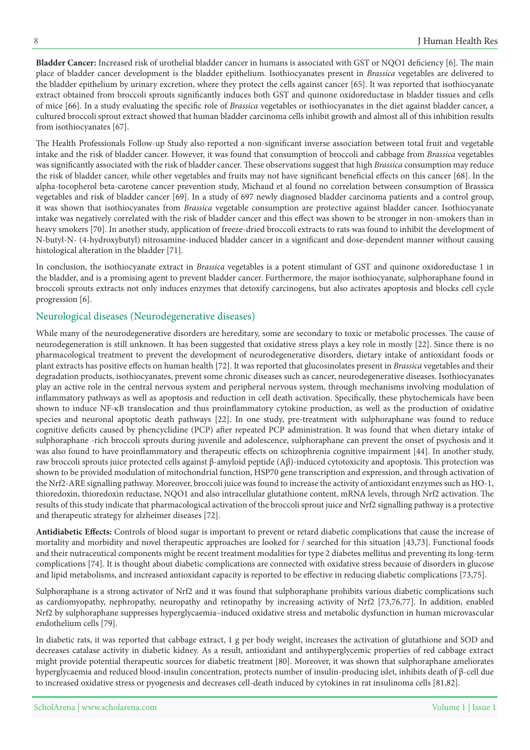**Bladder Cancer:** Increased risk of urothelial bladder cancer in humans is associated with GST or NQO1 deficiency [6]. The main place of bladder cancer development is the bladder epithelium. Isothiocyanates present in *Brassica* vegetables are delivered to the bladder epithelium by urinary excretion, where they protect the cells against cancer [65]. It was reported that isothiocyanate extract obtained from broccoli sprouts significantly induces both GST and quinone oxidoreductase in bladder tissues and cells of mice [66]. In a study evaluating the specific role of Brassica vegetables or isothiocyanates in the diet against bladder cancer, a cultured broccoli sprout extract showed that human bladder carcinoma cells inhibit growth and almost all of this inhibition results from isothiocyanates [67].

The Health Professionals Follow-up Study also reported a non-significant inverse association between total fruit and vegetable intake and the risk of bladder cancer. However, it was found that consumption of broccoli and cabbage from *Brassica* vegetables was significantly associated with the risk of bladder cancer. These observations suggest that high *Brassica* consumption may reduce the risk of bladder cancer, while other vegetables and fruits may not have significant beneficial effects on this cancer [68]. In the alpha-tocopherol beta-carotene cancer prevention study, Michaud et al found no correlation between consumption of Brassica vegetables and risk of bladder cancer [69]. In a study of 697 newly diagnosed bladder carcinoma patients and a control group, it was shown that isothiocyanates from Brassica vegetable consumption are protective against bladder cancer. Isothiocyanate intake was negatively correlated with the risk of bladder cancer and this effect was shown to be stronger in non-smokers than in heavy smokers [70]. In another study, application of freeze-dried broccoli extracts to rats was found to inhibit the development of N-butyl-N- (4-hydroxybutyl) nitrosamine-induced bladder cancer in a significant and dose-dependent manner without causing histological alteration in the bladder [71].

In conclusion, the isothiocyanate extract in *Brassica* vegetables is a potent stimulant of GST and quinone oxidoreductase 1 in the bladder, and is a promising agent to prevent bladder cancer. Furthermore, the major isothiocyanate, sulphoraphane found in broccoli sprouts extracts not only induces enzymes that detoxify carcinogens, but also activates apoptosis and blocks cell cycle progression [6].

### Neurological diseases (Neurodegenerative diseases)

While many of the neurodegenerative disorders are hereditary, some are secondary to toxic or metabolic processes. The cause of neurodegeneration is still unknown. It has been suggested that oxidative stress plays a key role in mostly [22]. Since there is no pharmacological treatment to prevent the development of neurodegenerative disorders, dietary intake of antioxidant foods or plant extracts has positive effects on human health [72]. It was reported that glucosinolates present in *Brassica* vegetables and their degradation products, isothiocyanates, prevent some chronic diseases such as cancer, neurodegenerative diseases. Isothiocyanates play an active role in the central nervous system and peripheral nervous system, through mechanisms involving modulation of inflammatory pathways as well as apoptosis and reduction in cell death activation. Specifically, these phytochemicals have been shown to induce NF-KB translocation and thus proinflammatory cytokine production, as well as the production of oxidative species and neuronal apoptotic death pathways [22]. In one study, pre-treatment with sulphoraphane was found to reduce cognitive deficits caused by phencyclidine (PCP) after repeated PCP administration. It was found that when dietary intake of sulphoraphane -rich broccoli sprouts during juvenile and adolescence, sulphoraphane can prevent the onset of psychosis and it was also found to have proinflammatory and therapeutic effects on schizophrenia cognitive impairment [44]. In another study, raw broccoli sprouts juice protected cells against  $\beta$ -amyloid peptide ( $\beta\beta$ )-induced cytotoxicity and apoptosis. This protection was shown to be provided modulation of mitochondrial function, HSP70 gene transcription and expression, and through activation of the Nrf2-ARE signalling pathway. Moreover, broccoli juice was found to increase the activity of antioxidant enzymes such as HO-1, thioredoxin, thioredoxin reductase, NQO1 and also intracellular glutathione content, mRNA levels, through Nrf2 activation. The results of this study indicate that pharmacological activation of the broccoli sprout juice and Nrf2 signalling pathway is a protective and therapeutic strategy for alzheimer diseases [72].

Antidiabetic Effects: Controls of blood sugar is important to prevent or retard diabetic complications that cause the increase of mortality and morbidity and novel therapeutic approaches are looked for / searched for this situation [43,73]. Functional foods and their nutraceutical components might be recent treatment modalities for type 2 diabetes mellitus and preventing its long-term complications [74]. It is thought about diabetic complications are connected with oxidative stress because of disorders in glucose and lipid metabolisms, and increased antioxidant capacity is reported to be effective in reducing diabetic complications [73,75].

Sulphoraphane is a strong activator of Nrf2 and it was found that sulphoraphane prohibits various diabetic complications such as cardiomyopathy, nephropathy, neuropathy and retinopathy by increasing activity of Nrf2 [73,76,77]. In addition, enabled Nrf2 by sulphoraphane suppresses hyperglycaemia-induced oxidative stress and metabolic dysfunction in human microvascular endothelium cells [79].

In diabetic rats, it was reported that cabbage extract, 1 g per body weight, increases the activation of glutathione and SOD and decreases catalase activity in diabetic kidney. As a result, antioxidant and antihyperglycemic properties of red cabbage extract might provide potential therapeutic sources for diabetic treatment [80]. Moreover, it was shown that sulphoraphane ameliorates hyperglycaemia and reduced blood-insulin concentration, protects number of insulin-producing islet, inhibits death of  $\beta$ -cell due to increased oxidative stress or pyogenesis and decreases cell-death induced by cytokines in rat insulinoma cells [81,82].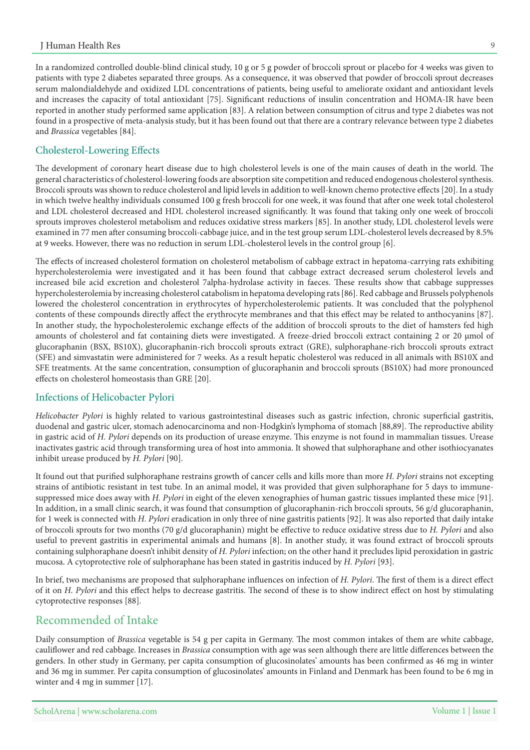In a randomized controlled double-blind clinical study, 10 g or 5 g powder of broccoli sprout or placebo for 4 weeks was given to patients with type 2 diabetes separated three groups. As a consequence, it was observed that powder of broccoli sprout decreases serum malondialdehyde and oxidized LDL concentrations of patients, being useful to ameliorate oxidant and antioxidant levels and increases the capacity of total antioxidant [75]. Significant reductions of insulin concentration and HOMA-IR have been reported in another study performed same application [83]. A relation between consumption of citrus and type 2 diabetes was not found in a prospective of meta-analysis study, but it has been found out that there are a contrary relevance between type 2 diabetes and Brassica vegetables [84].

#### Cholesterol-Lowering Effects

The development of coronary heart disease due to high cholesterol levels is one of the main causes of death in the world. The general characteristics of cholesterol-lowering foods are absorption site competition and reduced endogenous cholesterol synthesis. Broccoli sprouts was shown to reduce cholesterol and lipid levels in addition to well-known chemo protective effects [20]. In a study in which twelve healthy individuals consumed 100 g fresh broccoli for one week, it was found that after one week total cholesterol and LDL cholesterol decreased and HDL cholesterol increased significantly. It was found that taking only one week of broccoli sprouts improves cholesterol metabolism and reduces oxidative stress markers [85]. In another study, LDL cholesterol levels were examined in 77 men after consuming broccoli-cabbage juice, and in the test group serum LDL-cholesterol levels decreased by 8.5% at 9 weeks. However, there was no reduction in serum LDL-cholesterol levels in the control group [6].

The effects of increased cholesterol formation on cholesterol metabolism of cabbage extract in hepatoma-carrying rats exhibiting hypercholesterolemia were investigated and it has been found that cabbage extract decreased serum cholesterol levels and increased bile acid excretion and cholesterol 7alpha-hydrolase activity in faeces. These results show that cabbage suppresses hypercholesterolemia by increasing cholesterol catabolism in hepatoma developing rats [86]. Red cabbage and Brussels polyphenols lowered the cholesterol concentration in erythrocytes of hypercholesterolemic patients. It was concluded that the polyphenol contents of these compounds directly affect the erythrocyte membranes and that this effect may be related to anthocyanins [87]. In another study, the hypocholesterolemic exchange effects of the addition of broccoli sprouts to the diet of hamsters fed high amounts of cholesterol and fat containing diets were investigated. A freeze-dried broccoli extract containing 2 or 20 µmol of glucoraphanin (BSX, BS10X), glucoraphanin-rich broccoli sprouts extract (GRE), sulphoraphane-rich broccoli sprouts extract (SFE) and simvastatin were administered for 7 weeks. As a result hepatic cholesterol was reduced in all animals with BS10X and SFE treatments. At the same concentration, consumption of glucoraphanin and broccoli sprouts (BS10X) had more pronounced effects on cholesterol homeostasis than GRE [20].

#### Infections of Helicobacter Pylori

Helicobacter Pylori is highly related to various gastrointestinal diseases such as gastric infection, chronic superficial gastritis, duodenal and gastric ulcer, stomach adenocarcinoma and non-Hodgkin's lymphoma of stomach [88,89]. The reproductive ability in gastric acid of H. Pylori depends on its production of urease enzyme. This enzyme is not found in mammalian tissues. Urease inactivates gastric acid through transforming urea of host into ammonia. It showed that sulphoraphane and other isothiocyanates inhibit urease produced by *H. Pylori* [90].

It found out that purified sulphoraphane restrains growth of cancer cells and kills more than more *H. Pylori* strains not excepting suppressed mice does away with H. Pylori in eight of the eleven xenographies of human gastric tissues implanted these mice [91]. strains of antibiotic resistant in test tube. In an animal model, it was provided that given sulphoraphane for 5 days to immune-In addition, in a small clinic search, it was found that consumption of glucoraphanin-rich broccoli sprouts, 56 g/d glucoraphanin, for 1 week is connected with *H. Pylori* eradication in only three of nine gastritis patients [92]. It was also reported that daily intake of broccoli sprouts for two months (70 g/d glucoraphanin) might be effective to reduce oxidative stress due to H. Pylori and also useful to prevent gastritis in experimental animals and humans [8]. In another study, it was found extract of broccoli sprouts containing sulphoraphane doesn't inhibit density of H. Pylori infection; on the other hand it precludes lipid peroxidation in gastric mucosa. A cytoprotective role of sulphoraphane has been stated in gastritis induced by *H. Pylori* [93].

In brief, two mechanisms are proposed that sulphoraphane influences on infection of *H. Pylori*. The first of them is a direct effect of it on H. Pylori and this effect helps to decrease gastritis. The second of these is to show indirect effect on host by stimulating cytoprotective responses [88].

# Recommended of Intake

Daily consumption of *Brassica* vegetable is 54 g per capita in Germany. The most common intakes of them are white cabbage, cauliflower and red cabbage. Increases in Brassica consumption with age was seen although there are little differences between the genders. In other study in Germany, per capita consumption of glucosinolates' amounts has been confirmed as 46 mg in winter and 36 mg in summer. Per capita consumption of glucosinolates' amounts in Finland and Denmark has been found to be 6 mg in winter and  $4$  mg in summer  $[17]$ .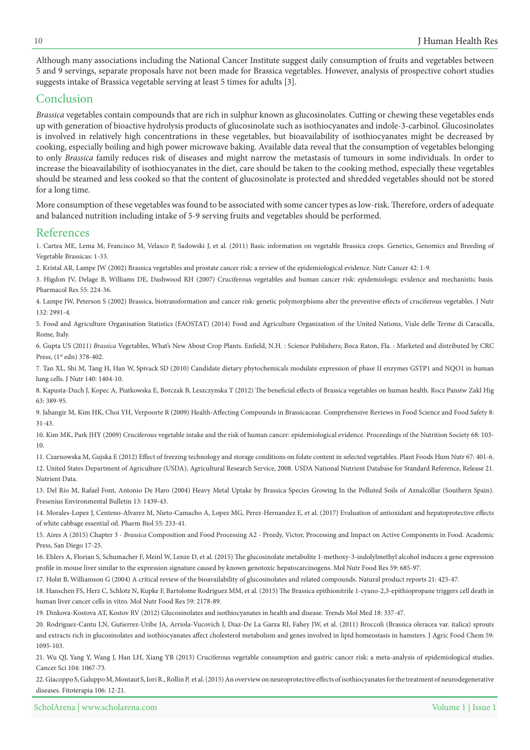Although many associations including the National Cancer Institute suggest daily consumption of fruits and vegetables between 5 and 9 servings, separate proposals have not been made for Brassica vegetables. However, analysis of prospective cohort studies suggests intake of Brassica vegetable serving at least 5 times for adults [3].

# Conclusion

Brassica vegetables contain compounds that are rich in sulphur known as glucosinolates. Cutting or chewing these vegetables ends up with generation of bioactive hydrolysis products of glucosinolate such as isothiocyanates and indole-3-carbinol. Glucosinolates is involved in relatively high concentrations in these vegetables, but bioavailability of isothiocyanates might be decreased by cooking, especially boiling and high power microwave baking. Available data reveal that the consumption of vegetables belonging to only *Brassica* family reduces risk of diseases and might narrow the metastasis of tumours in some individuals. In order to increase the bioavailability of isothiocyanates in the diet, care should be taken to the cooking method, especially these vegetables should be steamed and less cooked so that the content of glucosinolate is protected and shredded vegetables should not be stored for a long time.

More consumption of these vegetables was found to be associated with some cancer types as low-risk. Therefore, orders of adequate and balanced nutrition including intake of 5-9 serving fruits and vegetables should be performed.

### References

1. Cartea ME, Lema M, Francisco M, Velasco P, Sadowski J, et al. (2011) Basic information on vegetable Brassica crops. Genetics, Genomics and Breeding of Vegetable Brassicas: 1-33.

2. Kristal AR, Lampe JW (2002) Brassica vegetables and prostate cancer risk: a review of the epidemiological evidence. Nutr Cancer 42: 1-9.

3. Higdon JV, Delage B, Williams DE, Dashwood RH (2007) Cruciferous vegetables and human cancer risk: epidemiologic evidence and mechanistic basis. Pharmacol Res 55: 224-36.

4. Lampe JW, Peterson S (2002) Brassica, biotransformation and cancer risk: genetic polymorphisms alter the preventive effects of cruciferous vegetables. J Nutr 132: 2991-4.

5. Food and Agriculture Organisation Statistics (FAOSTAT) (2014) Food and Agriculture Organization of the United Nations, Viale delle Terme di Caracalla, Rome, Italy.

6. Gupta US (2011) Brassica Vegetables, What's New About Crop Plants. Enfield, N.H. : Science Publishers; Boca Raton, Fla. : Marketed and distributed by CRC Press,  $(1<sup>st</sup> edn) 378-402$ .

7. Tan XL, Shi M, Tang H, Han W, Spivack SD (2010) Candidate dietary phytochemicals modulate expression of phase II enzymes GSTP1 and NQO1 in human lung cells. J Nutr 140: 1404-10.

8. Kapusta-Duch J, Kopec A, Piatkowska E, Borczak B, Leszczynska T (2012) The beneficial effects of Brassica vegetables on human health. Rocz Panstw Zakl Hig 63: 389-95.

9. Jahangir M, Kim HK, Choi YH, Verpoorte R (2009) Health-Affecting Compounds in Brassicaceae. Comprehensive Reviews in Food Science and Food Safety 8: 31-43.

10. Kim MK, Park JHY (2009) Cruciferous vegetable intake and the risk of human cancer: epidemiological evidence. Proceedings of the Nutrition Society 68: 103-10.

11. Czarnowska M, Gujska E (2012) Effect of freezing technology and storage conditions on folate content in selected vegetables. Plant Foods Hum Nutr 67: 401-6. 12. United States Department of Agriculture (USDA), Agricultural Research Service, 2008. USDA National Nutrient Database for Standard Reference, Release 21. Nutrient Data.

13. Del Río M, Rafael Font, Antonio De Haro (2004) Heavy Metal Uptake by Brassica Species Growing In the Polluted Soils of Aznalcóllar (Southern Spain). Fresenius Environmental Bulletin 13: 1439-43.

14. Morales-Lopez J, Centeno-Alvarez M, Nieto-Camacho A, Lopez MG, Perez-Hernandez E, et al. (2017) Evaluation of antioxidant and hepatoprotective effects of white cabbage essential oil. Pharm Biol 55: 233-41.

15. Aires A (2015) Chapter 3 - Brassica Composition and Food Processing A2 - Preedy, Victor, Processing and Impact on Active Components in Food. Academic Press, San Diego 17-25.

16. Ehlers A, Florian S, Schumacher F, Meinl W, Lenze D, et al. (2015) The glucosinolate metabolite 1-methoxy-3-indolylmethyl alcohol induces a gene expression profile in mouse liver similar to the expression signature caused by known genotoxic hepatocarcinogens. Mol Nutr Food Res 59: 685-97.

17. Holst B, Williamson G (2004) A critical review of the bioavailability of glucosinolates and related compounds. Natural product reports 21: 425-47.

18. Hanschen FS, Herz C, Schlotz N, Kupke F, Bartolome Rodriguez MM, et al. (2015) The Brassica epithionitrile 1-cyano-2,3-epithiopropane triggers cell death in human liver cancer cells in vitro. Mol Nutr Food Res 59: 2178-89.

19. Dinkova-Kostova AT, Kostov RV (2012) Glucosinolates and isothiocyanates in health and disease. Trends Mol Med 18: 337-47.

20. Rodriguez-Cantu LN, Gutierrez-Uribe JA, Arriola-Vucovich J, Diaz-De La Garza RI, Fahey JW, et al. (2011) Broccoli (Brassica oleracea var. italica) sprouts and extracts rich in glucosinolates and isothiocyanates affect cholesterol metabolism and genes involved in lipid homeostasis in hamsters. J Agric Food Chem 59: 1095-103.

21. Wu QJ, Yang Y, Wang J, Han LH, Xiang YB (2013) Cruciferous vegetable consumption and gastric cancer risk: a meta-analysis of epidemiological studies. Cancer Sci 104: 1067-73.

22. Giacoppo S, Galuppo M, Montaut S, Iori R., Rollin P, et al. (2015) An overview on neuroprotective effects of isothiocyanates for the treatment of neurodegenerative diseases. Fitoterapia 106: 12-21.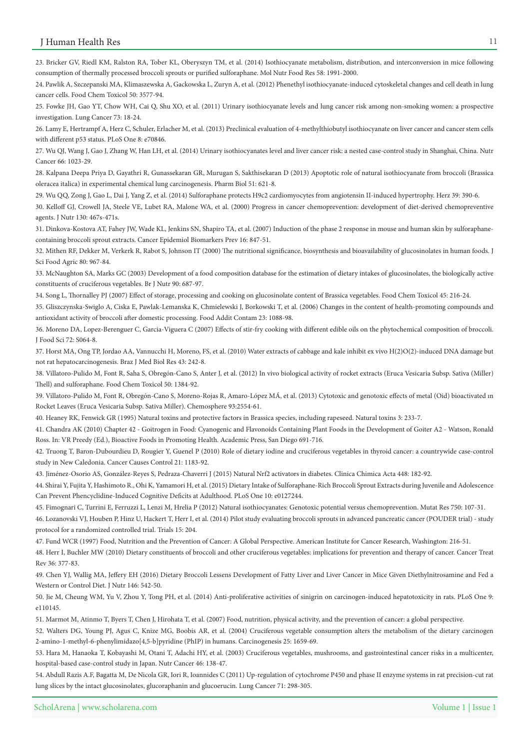23. Bricker GV, Riedl KM, Ralston RA, Tober KL, Oberyszyn TM, et al. (2014) Isothiocyanate metabolism, distribution, and interconversion in mice following consumption of thermally processed broccoli sprouts or purified sulforaphane. Mol Nutr Food Res 58: 1991-2000.

24. Pawlik A, Szczepanski MA, Klimaszewska A, Gackowska L, Zuryn A, et al. (2012) Phenethyl isothiocyanate-induced cytoskeletal changes and cell death in lung cancer cells. Food Chem Toxicol 50: 3577-94.

25. Fowke JH, Gao YT, Chow WH, Cai Q, Shu XO, et al. (2011) Urinary isothiocyanate levels and lung cancer risk among non-smoking women: a prospective investigation. Lung Cancer 73: 18-24.

26. Lamy E, Hertrampf A, Herz C, Schuler, Erlacher M, et al. (2013) Preclinical evaluation of 4-methylthiobutyl isothiocyanate on liver cancer and cancer stem cells with different p53 status. PLoS One 8: e70846.

27. Wu QJ, Wang J, Gao J, Zhang W, Han LH, et al. (2014) Urinary isothiocyanates level and liver cancer risk: a nested case-control study in Shanghai, China. Nutr Cancer 66: 1023-29.

28. Kalpana Deepa Priya D, Gayathri R, Gunassekaran GR, Murugan S, Sakthisekaran D (2013) Apoptotic role of natural isothiocyanate from broccoli (Brassica oleracea italica) in experimental chemical lung carcinogenesis. Pharm Biol 51: 621-8.

29. Wu QQ, Zong J, Gao L, Dai J, Yang Z, et al. (2014) Sulforaphane protects H9c2 cardiomyocytes from angiotensin II-induced hypertrophy. Herz 39: 390-6.

30. Kelloff GJ, Crowell JA, Steele VE, Lubet RA, Malone WA, et al. (2000) Progress in cancer chemoprevention: development of diet-derived chemopreventive agents. J Nutr 130: 467s-471s.

31. Dinkova-Kostova AT, Fahey JW, Wade KL, Jenkins SN, Shapiro TA, et al. (2007) Induction of the phase 2 response in mouse and human skin by sulforaphane-<br>containing broccoli sprout extracts. Cancer Epidemiol Biomarkers P

32. Mithen RF, Dekker M, Verkerk R, Rabot S, Johnson IT (2000) The nutritional significance, biosynthesis and bioavailability of glucosinolates in human foods. J Sci Food Agric 80: 967-84.

33. McNaughton SA, Marks GC (2003) Development of a food composition database for the estimation of dietary intakes of glucosinolates, the biologically active constituents of cruciferous vegetables. Br J Nutr 90: 687-97.

34. Song L, Thornalley PJ (2007) Effect of storage, processing and cooking on glucosinolate content of Brassica vegetables. Food Chem Toxicol 45: 216-24.

35. Gliszczynska-Swiglo A, Ciska E, Pawlak-Lemanska K, Chmielewski J, Borkowski T, et al. (2006) Changes in the content of health-promoting compounds and antioxidant activity of broccoli after domestic processing. Food Addit Contam 23: 1088-98.

36. Moreno DA, Lopez-Berenguer C, Garcia-Viguera C (2007) Effects of stir-fry cooking with different edible oils on the phytochemical composition of broccoli. I Food Sci 72: S064-8.

37. Horst MA, Ong TP, Jordao AA, Vannucchi H, Moreno, FS, et al. (2010) Water extracts of cabbage and kale inhibit ex vivo H(2)O(2)-induced DNA damage but not rat hepatocarcinogenesis. Braz J Med Biol Res 43: 242-8.

38. Villatoro-Pulido M, Font R, Saha S, Obregón-Cano S, Anter J, et al. (2012) In vivo biological activity of rocket extracts (Eruca Vesicaria Subsp. Sativa (Miller) Thell) and sulforaphane. Food Chem Toxicol 50: 1384-92.

39. Villatoro-Pulido M, Font R, Obregón-Cano S, Moreno-Rojas R, Amaro-López MÁ, et al. (2013) Cytotoxic and genotoxic effects of metal (Oid) bioactivated in Rocket Leaves (Eruca Vesicaria Subsp. Sativa Miller). Chemosphere 93:2554-61.

40. Heaney RK, Fenwick GR (1995) Natural toxins and protective factors in Brassica species, including rapeseed. Natural toxins 3: 233-7.

41. Chandra AK (2010) Chapter 42 - Goitrogen in Food: Cyanogenic and Flavonoids Containing Plant Foods in the Development of Goiter A2 - Watson, Ronald Ross. In: VR Preedy (Ed.), Bioactive Foods in Promoting Health. Academic Press, San Diego 691-716.

42. Truong T, Baron-Dubourdieu D, Rougier Y, Guenel P (2010) Role of dietary iodine and cruciferous vegetables in thyroid cancer: a countrywide case-control study in New Caledonia. Cancer Causes Control 21: 1183-92.

43. Jiménez-Osorio AS, González-Reyes S, Pedraza-Chaverri J (2015) Natural Nrf2 activators in diabetes. Clinica Chimica Acta 448: 182-92.

44. Shirai Y, Fujita Y, Hashimoto R., Ohi K, Yamamori H, et al. (2015) Dietary Intake of Sulforaphane-Rich Broccoli Sprout Extracts during Juvenile and Adolescence Can Prevent Phencyclidine-Induced Cognitive Deficits at Adulthood. PLoS One 10: e0127244.

45. Fimognari C, Turrini E, Ferruzzi L, Lenzi M, Hrelia P (2012) Natural isothiocyanates: Genotoxic potential versus chemoprevention. Mutat Res 750: 107-31.

46. Lozanovski VJ, Houben P, Hinz U, Hackert T, Herr I, et al. (2014) Pilot study evaluating broccoli sprouts in advanced pancreatic cancer (POUDER trial) - study protocol for a randomized controlled trial. Trials 15: 204.

47. Fund WCR (1997) Food, Nutrition and the Prevention of Cancer: A Global Perspective. American Institute for Cancer Research, Washington: 216-51.

48. Herr I, Buchler MW (2010) Dietary constituents of broccoli and other cruciferous vegetables: implications for prevention and therapy of cancer. Cancer Treat Rev 36: 377-83.

49. Chen YJ, Wallig MA, Jeffery EH (2016) Dietary Broccoli Lessens Development of Fatty Liver and Liver Cancer in Mice Given Diethylnitrosamine and Fed a Western or Control Diet. J Nutr 146: 542-50.

50. Jie M, Cheung WM, Yu V, Zhou Y, Tong PH, et al. (2014) Anti-proliferative activities of sinigrin on carcinogen-induced hepatotoxicity in rats. PLoS One 9: e110145

51. Marmot M, Atinmo T, Byers T, Chen J, Hirohata T, et al. (2007) Food, nutrition, physical activity, and the prevention of cancer: a global perspective.

52. Walters DG, Young PJ, Agus C, Knize MG, Boobis AR, et al. (2004) Cruciferous vegetable consumption alters the metabolism of the dietary carcinogen 2-amino-1-methyl-6-phenylimidazo[4,5-b]pyridine (PhIP) in humans. Carcinogenesis 25: 1659-69.

53. Hara M, Hanaoka T, Kobayashi M, Otani T, Adachi HY, et al. (2003) Cruciferous vegetables, mushrooms, and gastrointestinal cancer risks in a multicenter, hospital-based case-control study in Japan. Nutr Cancer 46: 138-47.

54. Abdull Razis A.F, Bagatta M, De Nicola GR, Iori R, Ioannides C (2011) Up-regulation of cytochrome P450 and phase II enzyme systems in rat precision-cut rat lung slices by the intact glucosinolates, glucoraphanin and glucoerucin. Lung Cancer 71: 298-305.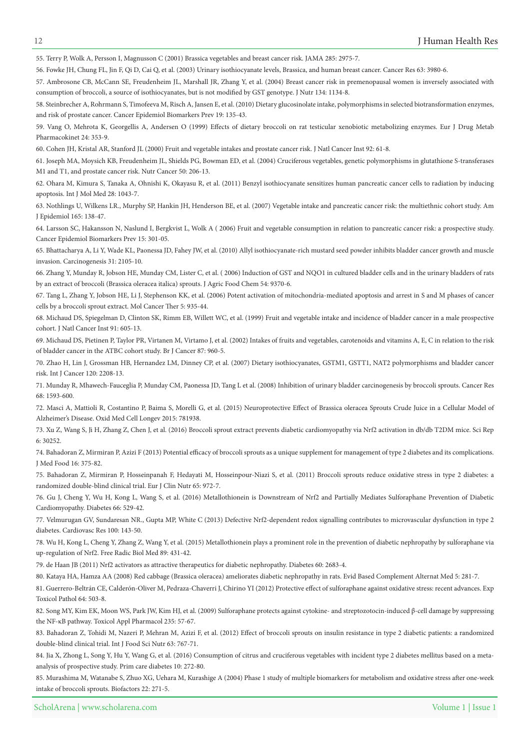55. Terry P, Wolk A, Persson I, Magnusson C (2001) Brassica vegetables and breast cancer risk. JAMA 285: 2975-7.

56. Fowke JH, Chung FL, Jin F, Qi D, Cai Q, et al. (2003) Urinary isothiocyanate levels, Brassica, and human breast cancer. Cancer Res 63: 3980-6.

57. Ambrosone CB, McCann SE, Freudenheim JL, Marshall JR, Zhang Y, et al. (2004) Breast cancer risk in premenopausal women is inversely associated with consumption of broccoli, a source of isothiocyanates, but is not modified by GST genotype. J Nutr 134: 1134-8.

58. Steinbrecher A, Rohrmann S, Timofeeva M, Risch A, Jansen E, et al. (2010) Dietary glucosinolate intake, polymorphisms in selected biotransformation enzymes, and risk of prostate cancer. Cancer Epidemiol Biomarkers Prev 19: 135-43.

59. Vang O, Mehrota K, Georgellis A, Andersen O (1999) Effects of dietary broccoli on rat testicular xenobiotic metabolizing enzymes. Eur J Drug Metab Pharmacokinet 24: 353-9.

60. Cohen JH, Kristal AR, Stanford JL (2000) Fruit and vegetable intakes and prostate cancer risk. J Natl Cancer Inst 92: 61-8.

61. Joseph MA, Moysich KB, Freudenheim JL, Shields PG, Bowman ED, et al. (2004) Cruciferous vegetables, genetic polymorphisms in glutathione S-transferases M1 and T1, and prostate cancer risk. Nutr Cancer 50: 206-13.

62. Ohara M, Kimura S, Tanaka A, Ohnishi K, Okayasu R, et al. (2011) Benzyl isothiocyanate sensitizes human pancreatic cancer cells to radiation by inducing apoptosis. Int J Mol Med 28: 1043-7.

63. Nothlings U, Wilkens LR., Murphy SP, Hankin JH, Henderson BE, et al. (2007) Vegetable intake and pancreatic cancer risk: the multiethnic cohort study. Am J Epidemiol 165: 138-47.

64. Larsson SC, Hakansson N, Naslund I, Bergkvist L, Wolk A (2006) Fruit and vegetable consumption in relation to pancreatic cancer risk: a prospective study. Cancer Epidemiol Biomarkers Prev 15: 301-05.

65. Bhattacharya A, Li Y, Wade KL, Paonessa JD, Fahey JW, et al. (2010) Allyl isothiocyanate-rich mustard seed powder inhibits bladder cancer growth and muscle invasion. Carcinogenesis 31: 2105-10.

66. Zhang Y, Munday R, Jobson HE, Munday CM, Lister C, et al. (2006) Induction of GST and NOO1 in cultured bladder cells and in the urinary bladders of rats by an extract of broccoli (Brassica oleracea italica) sprouts. J Agric Food Chem 54: 9370-6.

67. Tang L, Zhang Y, Jobson HE, Li J, Stephenson KK, et al. (2006) Potent activation of mitochondria-mediated apoptosis and arrest in S and M phases of cancer cells by a broccoli sprout extract. Mol Cancer Ther 5: 935-44.

68. Michaud DS, Spiegelman D, Clinton SK, Rimm EB, Willett WC, et al. (1999) Fruit and vegetable intake and incidence of bladder cancer in a male prospective cohort. J Natl Cancer Inst 91: 605-13.

69. Michaud DS, Pietinen P, Taylor PR, Virtanen M, Virtamo J, et al. (2002) Intakes of fruits and vegetables, carotenoids and vitamins A, E, C in relation to the risk of bladder cancer in the ATBC cohort study. Br J Cancer 87: 960-5.

70. Zhao H, Lin J, Grossman HB, Hernandez LM, Dinney CP, et al. (2007) Dietary isothiocyanates, GSTM1, GSTT1, NAT2 polymorphisms and bladder cancer risk. Int J Cancer 120: 2208-13.

71. Munday R, Mhawech-Fauceglia P, Munday CM, Paonessa JD, Tang L et al. (2008) Inhibition of urinary bladder carcinogenesis by broccoli sprouts. Cancer Res  $68:1593-600$ .

72. Masci A, Mattioli R, Costantino P, Baima S, Morelli G, et al. (2015) Neuroprotective Effect of Brassica oleracea Sprouts Crude Juice in a Cellular Model of Alzheimer's Disease. Oxid Med Cell Longev 2015: 781938.

73. Xu Z, Wang S, Ji H, Zhang Z, Chen J, et al. (2016) Broccoli sprout extract prevents diabetic cardiomyopathy via Nrf2 activation in db/db T2DM mice. Sci Rep 30252. 6:

74. Bahadoran Z, Mirmiran P, Azizi F (2013) Potential efficacy of broccoli sprouts as a unique supplement for management of type 2 diabetes and its complications. I Med Food 16: 375-82.

75. Bahadoran Z, Mirmiran P, Hosseinpanah F, Hedayati M, Hosseinpour-Niazi S, et al. (2011) Broccoli sprouts reduce oxidative stress in type 2 diabetes: a randomized double-blind clinical trial. Eur J Clin Nutr 65: 972-7.

76. Gu J, Cheng Y, Wu H, Kong L, Wang S, et al. (2016) Metallothionein is Downstream of Nrf2 and Partially Mediates Sulforaphane Prevention of Diabetic Cardiomyopathy. Diabetes 66: 529-42.

77. Velmurugan GV, Sundaresan NR., Gupta MP, White C (2013) Defective Nrf2-dependent redox signalling contributes to microvascular dysfunction in type 2 diabetes. Cardiovasc Res 100: 143-50.

78. Wu H, Kong L, Cheng Y, Zhang Z, Wang Y, et al. (2015) Metallothionein plays a prominent role in the prevention of diabetic nephropathy by sulforaphane via up-regulation of Nrf2. Free Radic Biol Med 89: 431-42.

79. de Haan JB (2011) Nrf2 activators as attractive therapeutics for diabetic nephropathy. Diabetes 60: 2683-4.

80. Kataya HA, Hamza AA (2008) Red cabbage (Brassica oleracea) ameliorates diabetic nephropathy in rats. Evid Based Complement Alternat Med 5: 281-7.

81. Guerrero-Beltrán CE, Calderón-Oliver M, Pedraza-Chaverri J, Chirino YI (2012) Protective effect of sulforaphane against oxidative stress: recent advances. Exp Toxicol Pathol 64: 503-8.

82. Song MY, Kim EK, Moon WS, Park JW, Kim HJ, et al. (2009) Sulforaphane protects against cytokine- and streptozotocin-induced β-cell damage by suppressing the NF-κB pathway. Toxicol Appl Pharmacol 235: 57-67.

83. Bahadoran Z, Tohidi M, Nazeri P, Mehran M, Azizi F, et al. (2012) Effect of broccoli sprouts on insulin resistance in type 2 diabetic patients: a randomized double-blind clinical trial. Int J Food Sci Nutr 63: 767-71.

84. Jia X, Zhong L, Song Y, Hu Y, Wang G, et al. (2016) Consumption of citrus and cruciferous vegetables with incident type 2 diabetes mellitus based on a meta-<br>analysis of prospective study. Prim care diabetes 10: 272-80.

85. Murashima M, Watanabe S, Zhuo XG, Uehara M, Kurashige A (2004) Phase 1 study of multiple biomarkers for metabolism and oxidative stress after one-week intake of broccoli sprouts. Biofactors 22: 271-5.